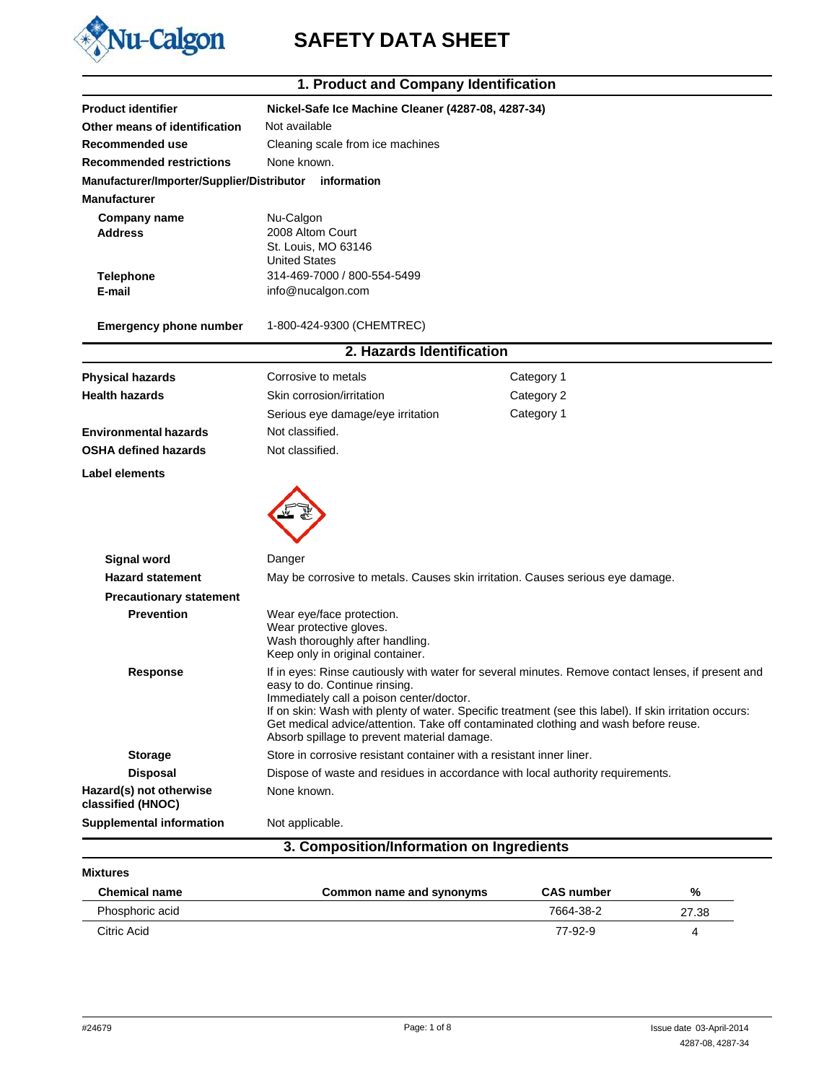

# Nu-Calgon SAFETY DATA SHEET

|                                                        | 1. Product and Company Identification                                                                                                                                                                                                                                                                                                                                                                                           |                   |       |
|--------------------------------------------------------|---------------------------------------------------------------------------------------------------------------------------------------------------------------------------------------------------------------------------------------------------------------------------------------------------------------------------------------------------------------------------------------------------------------------------------|-------------------|-------|
| <b>Product identifier</b>                              | Nickel-Safe Ice Machine Cleaner (4287-08, 4287-34)                                                                                                                                                                                                                                                                                                                                                                              |                   |       |
| Other means of identification                          | Not available                                                                                                                                                                                                                                                                                                                                                                                                                   |                   |       |
| Recommended use                                        | Cleaning scale from ice machines                                                                                                                                                                                                                                                                                                                                                                                                |                   |       |
| <b>Recommended restrictions</b>                        | None known.                                                                                                                                                                                                                                                                                                                                                                                                                     |                   |       |
| Manufacturer/Importer/Supplier/Distributor information |                                                                                                                                                                                                                                                                                                                                                                                                                                 |                   |       |
| <b>Manufacturer</b>                                    |                                                                                                                                                                                                                                                                                                                                                                                                                                 |                   |       |
| Company name<br><b>Address</b>                         | Nu-Calgon<br>2008 Altom Court<br>St. Louis, MO 63146<br><b>United States</b>                                                                                                                                                                                                                                                                                                                                                    |                   |       |
| <b>Telephone</b>                                       | 314-469-7000 / 800-554-5499                                                                                                                                                                                                                                                                                                                                                                                                     |                   |       |
| E-mail                                                 | info@nucalgon.com                                                                                                                                                                                                                                                                                                                                                                                                               |                   |       |
| <b>Emergency phone number</b>                          | 1-800-424-9300 (CHEMTREC)                                                                                                                                                                                                                                                                                                                                                                                                       |                   |       |
|                                                        | 2. Hazards Identification                                                                                                                                                                                                                                                                                                                                                                                                       |                   |       |
| <b>Physical hazards</b>                                | Corrosive to metals                                                                                                                                                                                                                                                                                                                                                                                                             | Category 1        |       |
| <b>Health hazards</b>                                  | Skin corrosion/irritation                                                                                                                                                                                                                                                                                                                                                                                                       | Category 2        |       |
|                                                        | Serious eye damage/eye irritation                                                                                                                                                                                                                                                                                                                                                                                               | Category 1        |       |
| <b>Environmental hazards</b>                           | Not classified.                                                                                                                                                                                                                                                                                                                                                                                                                 |                   |       |
| <b>OSHA defined hazards</b>                            | Not classified.                                                                                                                                                                                                                                                                                                                                                                                                                 |                   |       |
| <b>Label elements</b>                                  |                                                                                                                                                                                                                                                                                                                                                                                                                                 |                   |       |
|                                                        |                                                                                                                                                                                                                                                                                                                                                                                                                                 |                   |       |
| <b>Signal word</b>                                     | Danger                                                                                                                                                                                                                                                                                                                                                                                                                          |                   |       |
| <b>Hazard statement</b>                                | May be corrosive to metals. Causes skin irritation. Causes serious eye damage.                                                                                                                                                                                                                                                                                                                                                  |                   |       |
| <b>Precautionary statement</b>                         |                                                                                                                                                                                                                                                                                                                                                                                                                                 |                   |       |
| <b>Prevention</b>                                      | Wear eye/face protection.<br>Wear protective gloves.<br>Wash thoroughly after handling.<br>Keep only in original container.                                                                                                                                                                                                                                                                                                     |                   |       |
| <b>Response</b>                                        | If in eyes: Rinse cautiously with water for several minutes. Remove contact lenses, if present and<br>easy to do. Continue rinsing.<br>Immediately call a poison center/doctor.<br>If on skin: Wash with plenty of water. Specific treatment (see this label). If skin irritation occurs:<br>Get medical advice/attention. Take off contaminated clothing and wash before reuse.<br>Absorb spillage to prevent material damage. |                   |       |
| <b>Storage</b>                                         | Store in corrosive resistant container with a resistant inner liner.                                                                                                                                                                                                                                                                                                                                                            |                   |       |
| <b>Disposal</b>                                        | Dispose of waste and residues in accordance with local authority requirements.                                                                                                                                                                                                                                                                                                                                                  |                   |       |
| Hazard(s) not otherwise<br>classified (HNOC)           | None known.                                                                                                                                                                                                                                                                                                                                                                                                                     |                   |       |
| <b>Supplemental information</b>                        | Not applicable.                                                                                                                                                                                                                                                                                                                                                                                                                 |                   |       |
|                                                        | 3. Composition/Information on Ingredients                                                                                                                                                                                                                                                                                                                                                                                       |                   |       |
| <b>Mixtures</b>                                        |                                                                                                                                                                                                                                                                                                                                                                                                                                 |                   |       |
| <b>Chemical name</b>                                   | Common name and synonyms                                                                                                                                                                                                                                                                                                                                                                                                        | <b>CAS number</b> | ℅     |
| Phosphoric acid                                        |                                                                                                                                                                                                                                                                                                                                                                                                                                 | 7664-38-2         | 27.38 |

77-92-9

4287-08, 4287-34

27.38 4

Citric Acid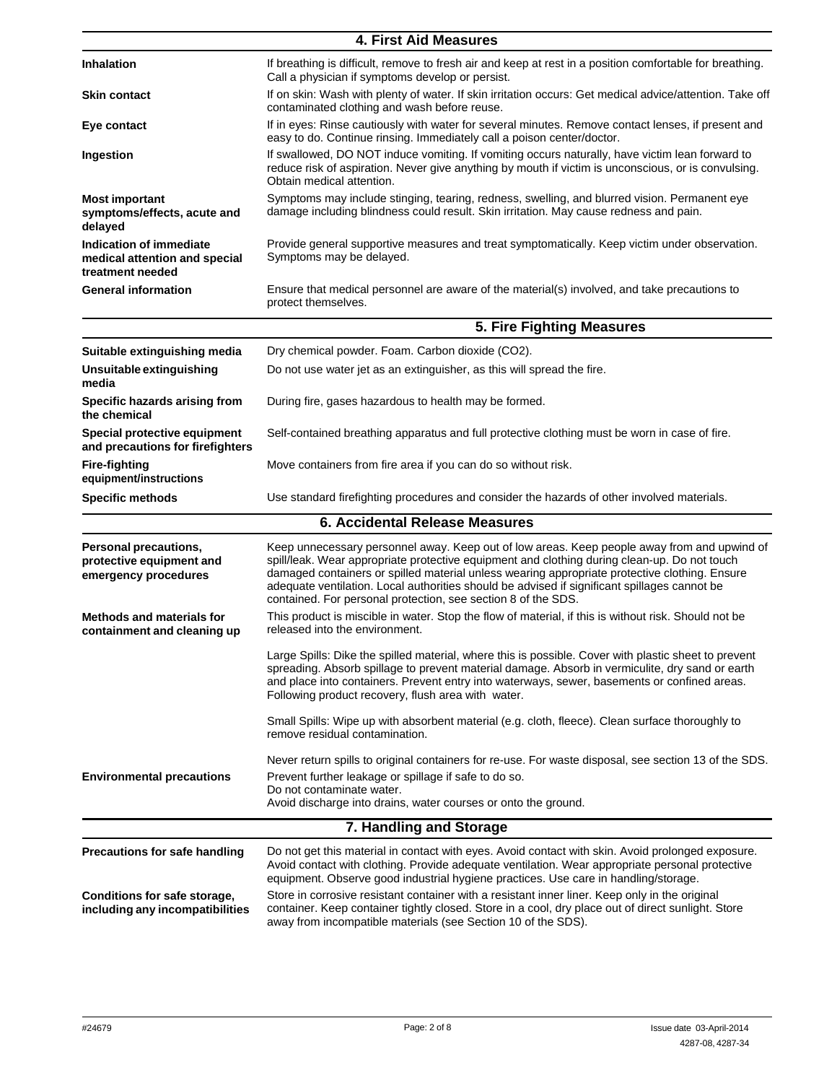|                                                                              | <b>4. First Aid Measures</b>                                                                                                                                                                                                                                                                                                                                                                                                                                  |
|------------------------------------------------------------------------------|---------------------------------------------------------------------------------------------------------------------------------------------------------------------------------------------------------------------------------------------------------------------------------------------------------------------------------------------------------------------------------------------------------------------------------------------------------------|
| <b>Inhalation</b>                                                            | If breathing is difficult, remove to fresh air and keep at rest in a position comfortable for breathing.<br>Call a physician if symptoms develop or persist.                                                                                                                                                                                                                                                                                                  |
| <b>Skin contact</b>                                                          | If on skin: Wash with plenty of water. If skin irritation occurs: Get medical advice/attention. Take off<br>contaminated clothing and wash before reuse.                                                                                                                                                                                                                                                                                                      |
| Eye contact                                                                  | If in eyes: Rinse cautiously with water for several minutes. Remove contact lenses, if present and<br>easy to do. Continue rinsing. Immediately call a poison center/doctor.                                                                                                                                                                                                                                                                                  |
| Ingestion                                                                    | If swallowed, DO NOT induce vomiting. If vomiting occurs naturally, have victim lean forward to<br>reduce risk of aspiration. Never give anything by mouth if victim is unconscious, or is convulsing.<br>Obtain medical attention.                                                                                                                                                                                                                           |
| <b>Most important</b><br>symptoms/effects, acute and<br>delayed              | Symptoms may include stinging, tearing, redness, swelling, and blurred vision. Permanent eye<br>damage including blindness could result. Skin irritation. May cause redness and pain.                                                                                                                                                                                                                                                                         |
| Indication of immediate<br>medical attention and special<br>treatment needed | Provide general supportive measures and treat symptomatically. Keep victim under observation.<br>Symptoms may be delayed.                                                                                                                                                                                                                                                                                                                                     |
| <b>General information</b>                                                   | Ensure that medical personnel are aware of the material(s) involved, and take precautions to<br>protect themselves.                                                                                                                                                                                                                                                                                                                                           |
|                                                                              | 5. Fire Fighting Measures                                                                                                                                                                                                                                                                                                                                                                                                                                     |
| Suitable extinguishing media                                                 | Dry chemical powder. Foam. Carbon dioxide (CO2).                                                                                                                                                                                                                                                                                                                                                                                                              |
| Unsuitable extinguishing<br>media                                            | Do not use water jet as an extinguisher, as this will spread the fire.                                                                                                                                                                                                                                                                                                                                                                                        |
| Specific hazards arising from<br>the chemical                                | During fire, gases hazardous to health may be formed.                                                                                                                                                                                                                                                                                                                                                                                                         |
| Special protective equipment<br>and precautions for firefighters             | Self-contained breathing apparatus and full protective clothing must be worn in case of fire.                                                                                                                                                                                                                                                                                                                                                                 |
| <b>Fire-fighting</b><br>equipment/instructions                               | Move containers from fire area if you can do so without risk.                                                                                                                                                                                                                                                                                                                                                                                                 |
| <b>Specific methods</b>                                                      | Use standard firefighting procedures and consider the hazards of other involved materials.                                                                                                                                                                                                                                                                                                                                                                    |
|                                                                              | <b>6. Accidental Release Measures</b>                                                                                                                                                                                                                                                                                                                                                                                                                         |
| Personal precautions,<br>protective equipment and<br>emergency procedures    | Keep unnecessary personnel away. Keep out of low areas. Keep people away from and upwind of<br>spill/leak. Wear appropriate protective equipment and clothing during clean-up. Do not touch<br>damaged containers or spilled material unless wearing appropriate protective clothing. Ensure<br>adequate ventilation. Local authorities should be advised if significant spillages cannot be<br>contained. For personal protection, see section 8 of the SDS. |
| <b>Methods and materials for</b><br>containment and cleaning up              | This product is miscible in water. Stop the flow of material, if this is without risk. Should not be<br>released into the environment.                                                                                                                                                                                                                                                                                                                        |
|                                                                              | Large Spills: Dike the spilled material, where this is possible. Cover with plastic sheet to prevent<br>spreading. Absorb spillage to prevent material damage. Absorb in vermiculite, dry sand or earth<br>and place into containers. Prevent entry into waterways, sewer, basements or confined areas.<br>Following product recovery, flush area with water.                                                                                                 |
|                                                                              | Small Spills: Wipe up with absorbent material (e.g. cloth, fleece). Clean surface thoroughly to<br>remove residual contamination.                                                                                                                                                                                                                                                                                                                             |
|                                                                              | Never return spills to original containers for re-use. For waste disposal, see section 13 of the SDS.                                                                                                                                                                                                                                                                                                                                                         |
| <b>Environmental precautions</b>                                             | Prevent further leakage or spillage if safe to do so.<br>Do not contaminate water.                                                                                                                                                                                                                                                                                                                                                                            |
|                                                                              | Avoid discharge into drains, water courses or onto the ground.                                                                                                                                                                                                                                                                                                                                                                                                |
|                                                                              | 7. Handling and Storage                                                                                                                                                                                                                                                                                                                                                                                                                                       |
| Precautions for safe handling                                                | Do not get this material in contact with eyes. Avoid contact with skin. Avoid prolonged exposure.<br>Avoid contact with clothing. Provide adequate ventilation. Wear appropriate personal protective<br>equipment. Observe good industrial hygiene practices. Use care in handling/storage.                                                                                                                                                                   |
| Conditions for safe storage,<br>including any incompatibilities              | Store in corrosive resistant container with a resistant inner liner. Keep only in the original<br>container. Keep container tightly closed. Store in a cool, dry place out of direct sunlight. Store<br>away from incompatible materials (see Section 10 of the SDS).                                                                                                                                                                                         |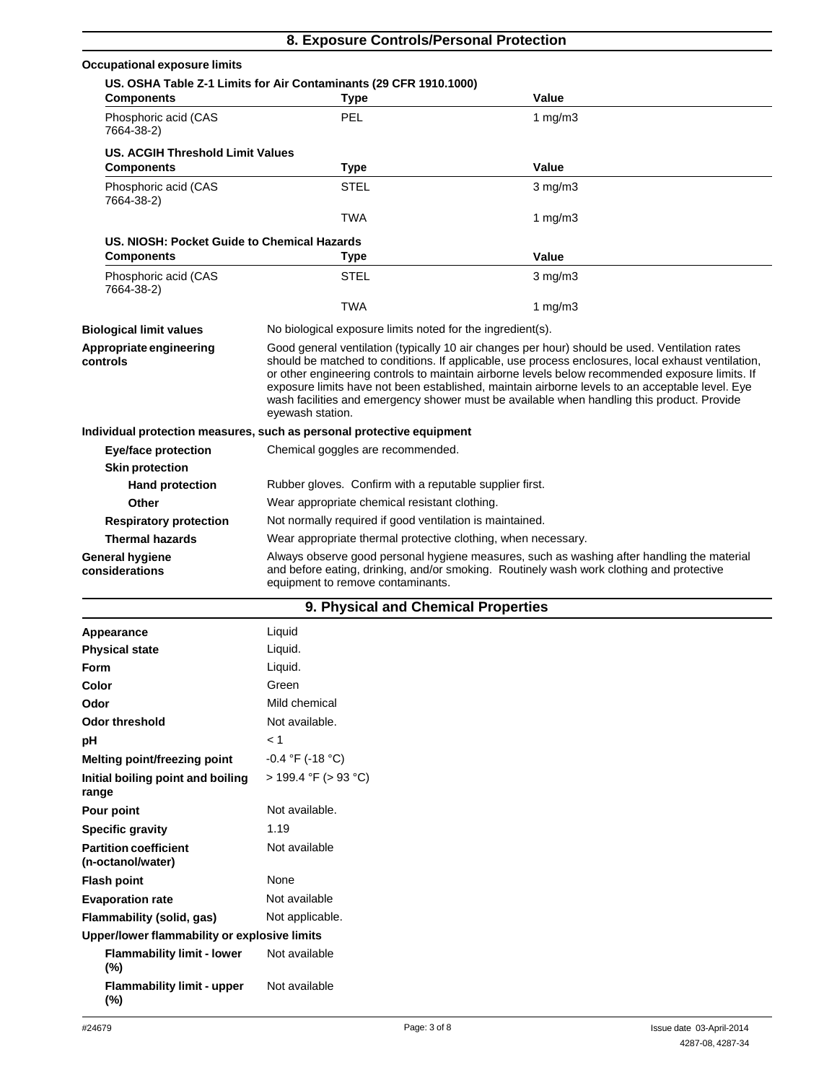| 8. Exposure Controls/Personal Protection    |                                                                                                                                                                                                                                                                                                                                                                                                                                                                                                                              |                                                                                                                                                                                        |  |
|---------------------------------------------|------------------------------------------------------------------------------------------------------------------------------------------------------------------------------------------------------------------------------------------------------------------------------------------------------------------------------------------------------------------------------------------------------------------------------------------------------------------------------------------------------------------------------|----------------------------------------------------------------------------------------------------------------------------------------------------------------------------------------|--|
| <b>Occupational exposure limits</b>         |                                                                                                                                                                                                                                                                                                                                                                                                                                                                                                                              |                                                                                                                                                                                        |  |
|                                             | US. OSHA Table Z-1 Limits for Air Contaminants (29 CFR 1910.1000)                                                                                                                                                                                                                                                                                                                                                                                                                                                            |                                                                                                                                                                                        |  |
| <b>Components</b>                           | <b>Type</b>                                                                                                                                                                                                                                                                                                                                                                                                                                                                                                                  | Value                                                                                                                                                                                  |  |
| Phosphoric acid (CAS<br>7664-38-2)          | PEL                                                                                                                                                                                                                                                                                                                                                                                                                                                                                                                          | 1 $mq/m3$                                                                                                                                                                              |  |
| <b>US. ACGIH Threshold Limit Values</b>     |                                                                                                                                                                                                                                                                                                                                                                                                                                                                                                                              |                                                                                                                                                                                        |  |
| <b>Components</b>                           | <b>Type</b>                                                                                                                                                                                                                                                                                                                                                                                                                                                                                                                  | Value                                                                                                                                                                                  |  |
| Phosphoric acid (CAS<br>7664-38-2)          | <b>STEL</b>                                                                                                                                                                                                                                                                                                                                                                                                                                                                                                                  | $3$ mg/m $3$                                                                                                                                                                           |  |
|                                             | TWA                                                                                                                                                                                                                                                                                                                                                                                                                                                                                                                          | 1 $mg/m3$                                                                                                                                                                              |  |
| US, NIOSH: Pocket Guide to Chemical Hazards |                                                                                                                                                                                                                                                                                                                                                                                                                                                                                                                              |                                                                                                                                                                                        |  |
| <b>Components</b>                           | Type                                                                                                                                                                                                                                                                                                                                                                                                                                                                                                                         | Value                                                                                                                                                                                  |  |
| Phosphoric acid (CAS<br>7664-38-2)          | STEL                                                                                                                                                                                                                                                                                                                                                                                                                                                                                                                         | $3$ mg/m $3$                                                                                                                                                                           |  |
|                                             | TWA                                                                                                                                                                                                                                                                                                                                                                                                                                                                                                                          | 1 $mg/m3$                                                                                                                                                                              |  |
| <b>Biological limit values</b>              | No biological exposure limits noted for the ingredient(s).                                                                                                                                                                                                                                                                                                                                                                                                                                                                   |                                                                                                                                                                                        |  |
| Appropriate engineering<br>controls         | Good general ventilation (typically 10 air changes per hour) should be used. Ventilation rates<br>should be matched to conditions. If applicable, use process enclosures, local exhaust ventilation,<br>or other engineering controls to maintain airborne levels below recommended exposure limits. If<br>exposure limits have not been established, maintain airborne levels to an acceptable level. Eye<br>wash facilities and emergency shower must be available when handling this product. Provide<br>eyewash station. |                                                                                                                                                                                        |  |
|                                             | Individual protection measures, such as personal protective equipment                                                                                                                                                                                                                                                                                                                                                                                                                                                        |                                                                                                                                                                                        |  |
| <b>Eye/face protection</b>                  | Chemical goggles are recommended.                                                                                                                                                                                                                                                                                                                                                                                                                                                                                            |                                                                                                                                                                                        |  |
| <b>Skin protection</b>                      |                                                                                                                                                                                                                                                                                                                                                                                                                                                                                                                              |                                                                                                                                                                                        |  |
| <b>Hand protection</b>                      | Rubber gloves. Confirm with a reputable supplier first.                                                                                                                                                                                                                                                                                                                                                                                                                                                                      |                                                                                                                                                                                        |  |
| Other                                       |                                                                                                                                                                                                                                                                                                                                                                                                                                                                                                                              | Wear appropriate chemical resistant clothing.                                                                                                                                          |  |
| <b>Respiratory protection</b>               |                                                                                                                                                                                                                                                                                                                                                                                                                                                                                                                              | Not normally required if good ventilation is maintained.                                                                                                                               |  |
| <b>Thermal hazards</b>                      | Wear appropriate thermal protective clothing, when necessary.                                                                                                                                                                                                                                                                                                                                                                                                                                                                |                                                                                                                                                                                        |  |
| <b>General hygiene</b><br>considerations    | equipment to remove contaminants.                                                                                                                                                                                                                                                                                                                                                                                                                                                                                            | Always observe good personal hygiene measures, such as washing after handling the material<br>and before eating, drinking, and/or smoking. Routinely wash work clothing and protective |  |
|                                             | 9. Physical and Chemical Properties                                                                                                                                                                                                                                                                                                                                                                                                                                                                                          |                                                                                                                                                                                        |  |
| Appearance                                  | Liquid                                                                                                                                                                                                                                                                                                                                                                                                                                                                                                                       |                                                                                                                                                                                        |  |
|                                             |                                                                                                                                                                                                                                                                                                                                                                                                                                                                                                                              |                                                                                                                                                                                        |  |

| Appearance                                        | Liquid                    |
|---------------------------------------------------|---------------------------|
| <b>Physical state</b>                             | Liquid.                   |
| <b>Form</b>                                       | Liquid.                   |
| Color                                             | Green                     |
| Odor                                              | Mild chemical             |
| Odor threshold                                    | Not available.            |
| рH                                                | < 1                       |
| Melting point/freezing point                      | $-0.4$ °F (-18 °C)        |
| Initial boiling point and boiling<br>range        | $> 199.4$ °F ( $> 93$ °C) |
| Pour point                                        | Not available.            |
| <b>Specific gravity</b>                           | 1.19                      |
| <b>Partition coefficient</b><br>(n-octanol/water) | Not available             |
| <b>Flash point</b>                                | None                      |
| <b>Evaporation rate</b>                           | Not available             |
| Flammability (solid, gas)                         | Not applicable.           |
| Upper/lower flammability or explosive limits      |                           |
| <b>Flammability limit - lower</b><br>$(\%)$       | Not available             |
| <b>Flammability limit - upper</b><br>$(\%)$       | Not available             |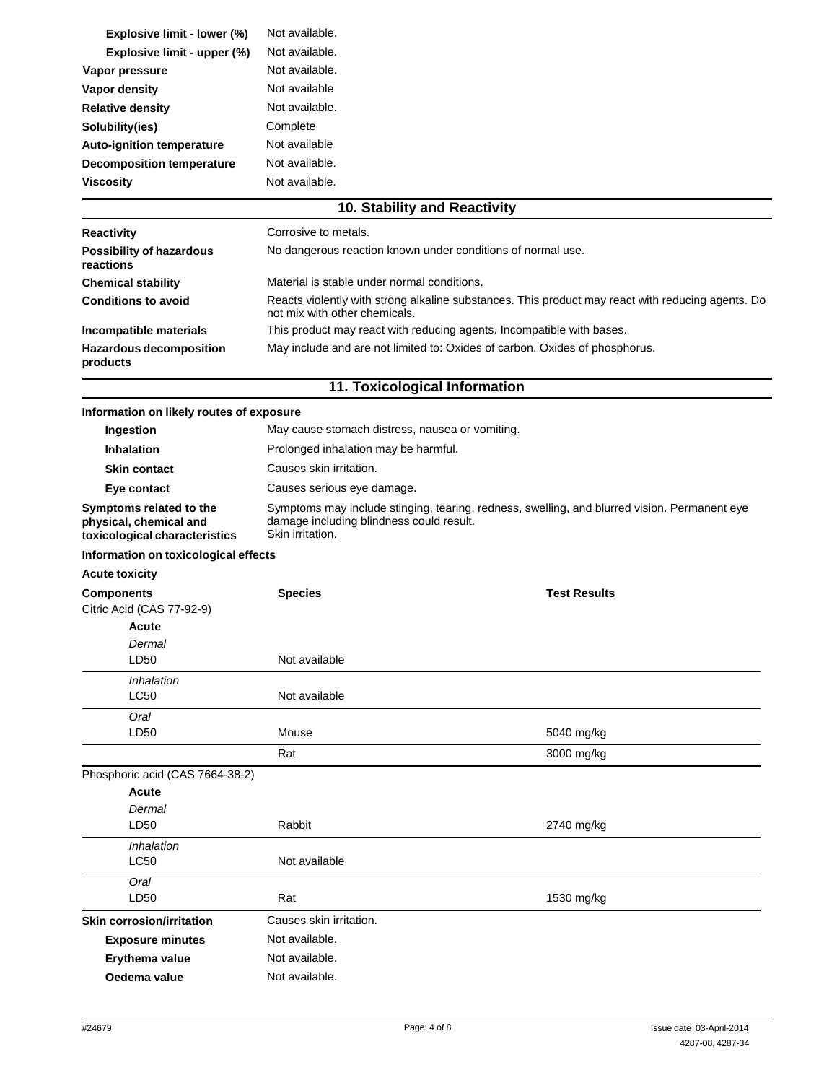| Explosive limit - lower (%)           | Not available.                                              |  |  |
|---------------------------------------|-------------------------------------------------------------|--|--|
| Explosive limit - upper (%)           | Not available.                                              |  |  |
| Vapor pressure                        | Not available.                                              |  |  |
| Vapor density                         | Not available                                               |  |  |
| <b>Relative density</b>               | Not available.                                              |  |  |
| Solubility(ies)                       | Complete                                                    |  |  |
| <b>Auto-ignition temperature</b>      | Not available                                               |  |  |
| <b>Decomposition temperature</b>      | Not available.                                              |  |  |
| <b>Viscosity</b>                      | Not available.                                              |  |  |
|                                       | 10. Stability and Reactivity                                |  |  |
| <b>Reactivity</b>                     | Corrosive to metals.                                        |  |  |
| Possibility of hazardous<br>reactions | No dangerous reaction known under conditions of normal use. |  |  |
| <b>Chemical stability</b>             | Material is stable under normal conditions.                 |  |  |

**Incompatible materials** This product may react with reducing agents. Incompatible with bases. **Hazardous decomposition products**

### **11. Toxicological Information**

May include and are not limited to: Oxides of carbon. Oxides of phosphorus.

**Conditions to avoid** Reacts violently with strong alkaline substances. This product may react with reducing agents. Do

not mix with other chemicals.

#### **Information on likely routes of exposure**

| <b>Ingestion</b>                                                                   | May cause stomach distress, nausea or vomiting.                                                                                                              |
|------------------------------------------------------------------------------------|--------------------------------------------------------------------------------------------------------------------------------------------------------------|
| <b>Inhalation</b>                                                                  | Prolonged inhalation may be harmful.                                                                                                                         |
| <b>Skin contact</b>                                                                | Causes skin irritation.                                                                                                                                      |
| Eye contact                                                                        | Causes serious eye damage.                                                                                                                                   |
| Symptoms related to the<br>physical, chemical and<br>toxicological characteristics | Symptoms may include stinging, tearing, redness, swelling, and blurred vision. Permanent eye<br>damage including blindness could result.<br>Skin irritation. |
| Information on toxicological effects                                               |                                                                                                                                                              |

# **Acute toxicity**

| <b>Components</b><br>Citric Acid (CAS 77-92-9) | <b>Species</b> | <b>Test Results</b> |
|------------------------------------------------|----------------|---------------------|
| Acute                                          |                |                     |
| Dermal                                         |                |                     |
| LD50                                           | Not available  |                     |
| Inhalation                                     |                |                     |
| <b>LC50</b>                                    | Not available  |                     |
| Oral                                           |                |                     |
| LD <sub>50</sub>                               | Mouse          | 5040 mg/kg          |
|                                                | Rat            | 3000 mg/kg          |
| Phosphoric acid (CAS 7664-38-2)                |                |                     |
| <b>Acute</b>                                   |                |                     |

| Dermal<br>LD50            | Rabbit                  | 2740 mg/kg |
|---------------------------|-------------------------|------------|
| Inhalation                |                         |            |
| <b>LC50</b>               | Not available           |            |
| Oral                      |                         |            |
| LD50                      | Rat                     | 1530 mg/kg |
| Skin corrosion/irritation | Causes skin irritation. |            |
| <b>Exposure minutes</b>   | Not available.          |            |
| Erythema value            | Not available.          |            |
| Oedema value              | Not available.          |            |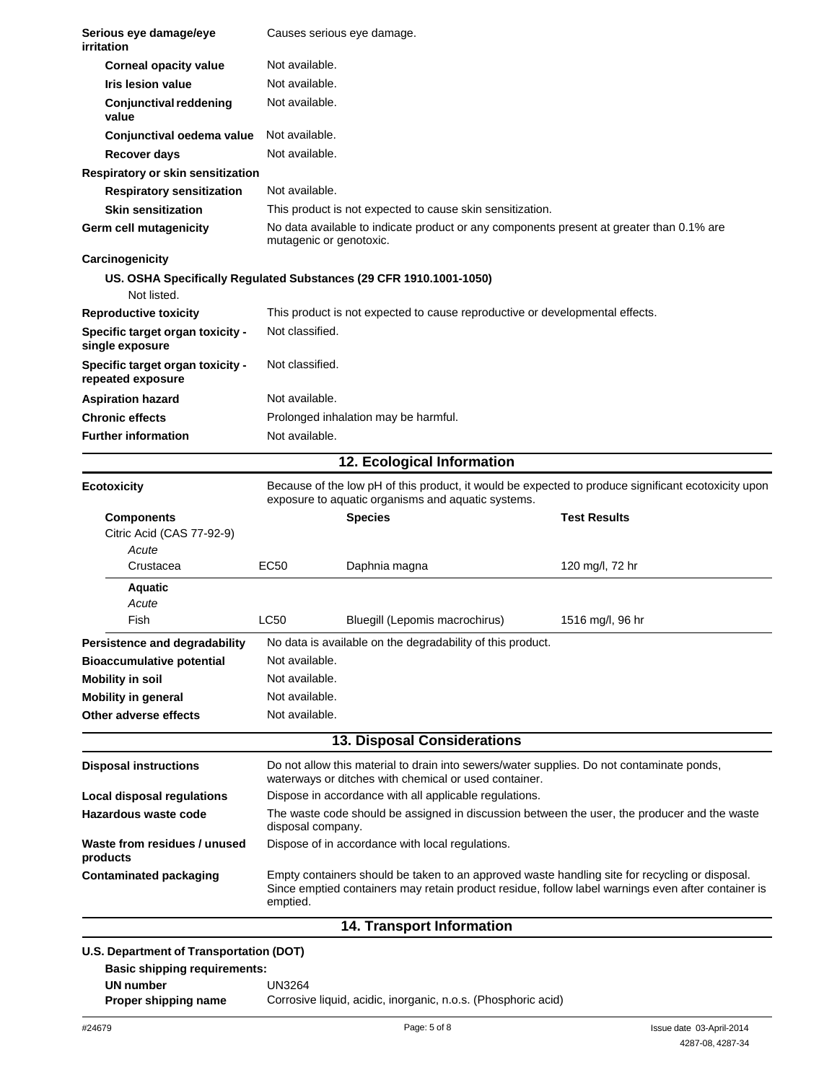| Serious eye damage/eye<br>irritation                  |                         | Causes serious eye damage.                                                                                                                                                                           |                                                                                                     |  |
|-------------------------------------------------------|-------------------------|------------------------------------------------------------------------------------------------------------------------------------------------------------------------------------------------------|-----------------------------------------------------------------------------------------------------|--|
| <b>Corneal opacity value</b>                          | Not available.          |                                                                                                                                                                                                      |                                                                                                     |  |
| <b>Iris lesion value</b>                              | Not available.          |                                                                                                                                                                                                      |                                                                                                     |  |
| <b>Conjunctival reddening</b><br>value                |                         | Not available.                                                                                                                                                                                       |                                                                                                     |  |
| Conjunctival oedema value                             | Not available.          |                                                                                                                                                                                                      |                                                                                                     |  |
| <b>Recover days</b>                                   | Not available.          |                                                                                                                                                                                                      |                                                                                                     |  |
| Respiratory or skin sensitization                     |                         |                                                                                                                                                                                                      |                                                                                                     |  |
| <b>Respiratory sensitization</b>                      | Not available.          |                                                                                                                                                                                                      |                                                                                                     |  |
| <b>Skin sensitization</b>                             |                         | This product is not expected to cause skin sensitization.                                                                                                                                            |                                                                                                     |  |
| Germ cell mutagenicity                                | mutagenic or genotoxic. |                                                                                                                                                                                                      | No data available to indicate product or any components present at greater than 0.1% are            |  |
| Carcinogenicity                                       |                         |                                                                                                                                                                                                      |                                                                                                     |  |
| Not listed.                                           |                         | US. OSHA Specifically Regulated Substances (29 CFR 1910.1001-1050)                                                                                                                                   |                                                                                                     |  |
| <b>Reproductive toxicity</b>                          |                         | This product is not expected to cause reproductive or developmental effects.                                                                                                                         |                                                                                                     |  |
| Specific target organ toxicity -                      | Not classified.         |                                                                                                                                                                                                      |                                                                                                     |  |
| single exposure                                       |                         |                                                                                                                                                                                                      |                                                                                                     |  |
| Specific target organ toxicity -<br>repeated exposure | Not classified.         |                                                                                                                                                                                                      |                                                                                                     |  |
| <b>Aspiration hazard</b>                              | Not available.          |                                                                                                                                                                                                      |                                                                                                     |  |
| <b>Chronic effects</b>                                |                         | Prolonged inhalation may be harmful.                                                                                                                                                                 |                                                                                                     |  |
| <b>Further information</b>                            | Not available.          |                                                                                                                                                                                                      |                                                                                                     |  |
|                                                       |                         | 12. Ecological Information                                                                                                                                                                           |                                                                                                     |  |
|                                                       |                         |                                                                                                                                                                                                      |                                                                                                     |  |
| <b>Ecotoxicity</b>                                    |                         | exposure to aquatic organisms and aquatic systems.                                                                                                                                                   | Because of the low pH of this product, it would be expected to produce significant ecotoxicity upon |  |
| <b>Components</b><br>Citric Acid (CAS 77-92-9)        |                         | <b>Species</b>                                                                                                                                                                                       | <b>Test Results</b>                                                                                 |  |
| Acute<br>Crustacea                                    | <b>EC50</b>             | Daphnia magna                                                                                                                                                                                        | 120 mg/l, 72 hr                                                                                     |  |
| <b>Aquatic</b>                                        |                         |                                                                                                                                                                                                      |                                                                                                     |  |
| Acute                                                 |                         |                                                                                                                                                                                                      |                                                                                                     |  |
| Fish                                                  | LC50                    | Bluegill (Lepomis macrochirus)                                                                                                                                                                       | 1516 mg/l, 96 hr                                                                                    |  |
| Persistence and degradability                         |                         | No data is available on the degradability of this product.                                                                                                                                           |                                                                                                     |  |
| <b>Bioaccumulative potential</b>                      | Not available.          |                                                                                                                                                                                                      |                                                                                                     |  |
| <b>Mobility in soil</b>                               | Not available.          |                                                                                                                                                                                                      |                                                                                                     |  |
| <b>Mobility in general</b>                            | Not available.          |                                                                                                                                                                                                      |                                                                                                     |  |
| Other adverse effects                                 | Not available.          |                                                                                                                                                                                                      |                                                                                                     |  |
|                                                       |                         | 13. Disposal Considerations                                                                                                                                                                          |                                                                                                     |  |
| <b>Disposal instructions</b>                          |                         | waterways or ditches with chemical or used container.                                                                                                                                                | Do not allow this material to drain into sewers/water supplies. Do not contaminate ponds,           |  |
| Local disposal regulations                            |                         | Dispose in accordance with all applicable regulations.                                                                                                                                               |                                                                                                     |  |
| Hazardous waste code                                  |                         | The waste code should be assigned in discussion between the user, the producer and the waste<br>disposal company.                                                                                    |                                                                                                     |  |
| Waste from residues / unused<br>products              |                         | Dispose of in accordance with local regulations.                                                                                                                                                     |                                                                                                     |  |
| <b>Contaminated packaging</b>                         | emptied.                | Empty containers should be taken to an approved waste handling site for recycling or disposal.<br>Since emptied containers may retain product residue, follow label warnings even after container is |                                                                                                     |  |
|                                                       |                         | <b>14. Transport Information</b>                                                                                                                                                                     |                                                                                                     |  |
| U.S. Department of Transportation (DOT)               |                         |                                                                                                                                                                                                      |                                                                                                     |  |
| <b>Basic shipping requirements:</b>                   |                         |                                                                                                                                                                                                      |                                                                                                     |  |
| <b>UN number</b>                                      | UN3264                  |                                                                                                                                                                                                      |                                                                                                     |  |
| Proper shipping name                                  |                         | Corrosive liquid, acidic, inorganic, n.o.s. (Phosphoric acid)                                                                                                                                        |                                                                                                     |  |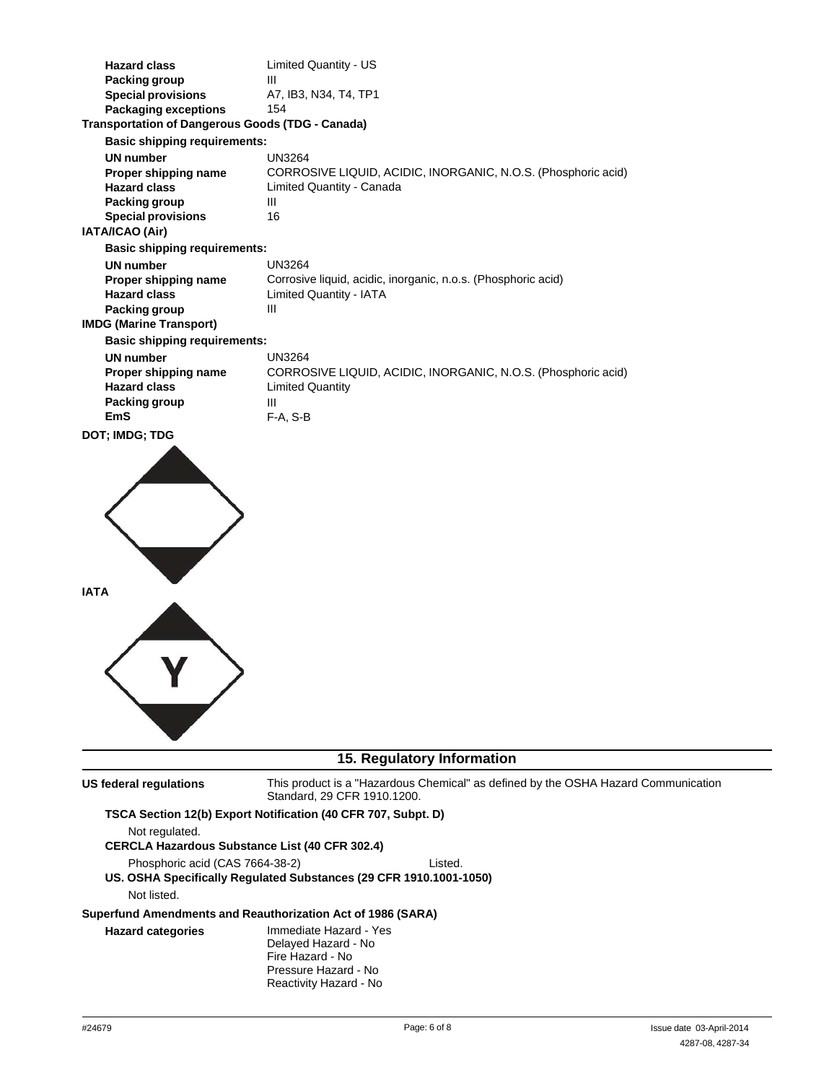| <b>Hazard class</b><br>Packing group<br><b>Special provisions</b> | Limited Quantity - US<br>Ш<br>A7, IB3, N34, T4, TP1                                        |
|-------------------------------------------------------------------|--------------------------------------------------------------------------------------------|
| <b>Packaging exceptions</b>                                       | 154                                                                                        |
| <b>Transportation of Dangerous Goods (TDG - Canada)</b>           |                                                                                            |
| <b>Basic shipping requirements:</b>                               |                                                                                            |
| <b>UN number</b>                                                  | <b>UN3264</b>                                                                              |
| Proper shipping name<br><b>Hazard class</b>                       | CORROSIVE LIQUID, ACIDIC, INORGANIC, N.O.S. (Phosphoric acid)<br>Limited Quantity - Canada |
| Packing group                                                     | Ш                                                                                          |
| <b>Special provisions</b>                                         | 16                                                                                         |
| IATA/ICAO (Air)                                                   |                                                                                            |
| <b>Basic shipping requirements:</b>                               |                                                                                            |
| <b>UN number</b>                                                  | <b>UN3264</b>                                                                              |
| Proper shipping name                                              | Corrosive liquid, acidic, inorganic, n.o.s. (Phosphoric acid)                              |
| <b>Hazard class</b>                                               | <b>Limited Quantity - IATA</b>                                                             |
| Packing group                                                     | Ш                                                                                          |
| <b>IMDG (Marine Transport)</b>                                    |                                                                                            |
| <b>Basic shipping requirements:</b>                               |                                                                                            |
| <b>UN number</b>                                                  | <b>UN3264</b>                                                                              |
| Proper shipping name<br><b>Hazard class</b>                       | CORROSIVE LIQUID, ACIDIC, INORGANIC, N.O.S. (Phosphoric acid)<br><b>Limited Quantity</b>   |
| Packing group                                                     | Ш                                                                                          |
| <b>EmS</b>                                                        | F-A, S-B                                                                                   |
| <b>DOT; IMDG; TDG</b>                                             |                                                                                            |
| <b>IATA</b>                                                       |                                                                                            |
|                                                                   |                                                                                            |

## **15. Regulatory Information**

**US federal regulations** This product is a "Hazardous Chemical" as defined by the OSHA Hazard Communication Standard, 29 CFR 1910.1200.

# **TSCA Section 12(b) Export Notification (40 CFR 707, Subpt. D)**

Not regulated. **CERCLA Hazardous Substance List (40 CFR 302.4)** Phosphoric acid (CAS 7664-38-2) Listed. **US. OSHA Specifically Regulated Substances (29 CFR 1910.1001-1050)** Not listed. **Superfund Amendments and Reauthorization Act of 1986 (SARA) Hazard categories** Immediate Hazard - Yes Delayed Hazard - No Fire Hazard - No Pressure Hazard - No

Reactivity Hazard - No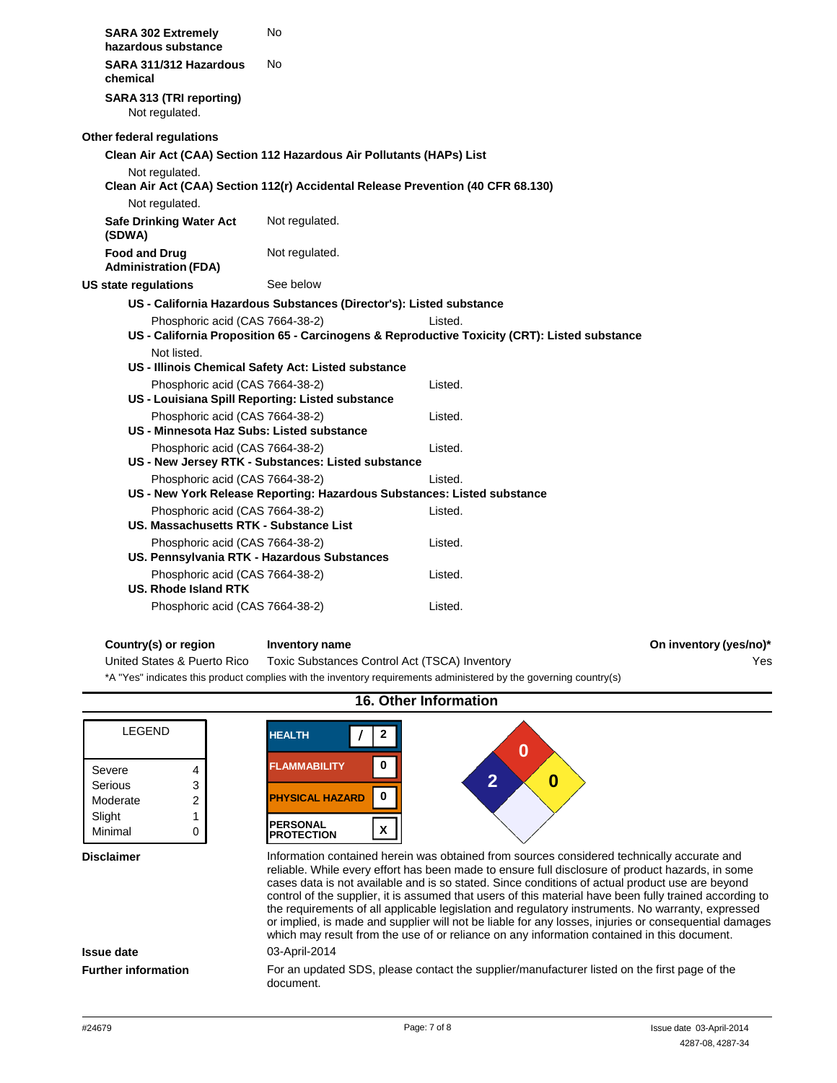| <b>SARA 302 Extremely</b><br>hazardous substance                                    | No                                                                               |                                                                                              |
|-------------------------------------------------------------------------------------|----------------------------------------------------------------------------------|----------------------------------------------------------------------------------------------|
| SARA 311/312 Hazardous<br>chemical                                                  | No                                                                               |                                                                                              |
| SARA 313 (TRI reporting)<br>Not regulated.                                          |                                                                                  |                                                                                              |
| Other federal regulations                                                           |                                                                                  |                                                                                              |
|                                                                                     | Clean Air Act (CAA) Section 112 Hazardous Air Pollutants (HAPs) List             |                                                                                              |
| Not regulated.                                                                      |                                                                                  |                                                                                              |
|                                                                                     | Clean Air Act (CAA) Section 112(r) Accidental Release Prevention (40 CFR 68.130) |                                                                                              |
| Not regulated.                                                                      |                                                                                  |                                                                                              |
| <b>Safe Drinking Water Act</b><br>(SDWA)                                            | Not regulated.                                                                   |                                                                                              |
| <b>Food and Drug</b><br><b>Administration (FDA)</b>                                 | Not regulated.                                                                   |                                                                                              |
| US state regulations                                                                | See below                                                                        |                                                                                              |
|                                                                                     | US - California Hazardous Substances (Director's): Listed substance              |                                                                                              |
| Phosphoric acid (CAS 7664-38-2)                                                     |                                                                                  | Listed.                                                                                      |
|                                                                                     |                                                                                  | US - California Proposition 65 - Carcinogens & Reproductive Toxicity (CRT): Listed substance |
| Not listed.                                                                         |                                                                                  |                                                                                              |
|                                                                                     | US - Illinois Chemical Safety Act: Listed substance                              |                                                                                              |
| Phosphoric acid (CAS 7664-38-2)<br>US - Louisiana Spill Reporting: Listed substance |                                                                                  | Listed.                                                                                      |
| Phosphoric acid (CAS 7664-38-2)                                                     |                                                                                  | Listed.                                                                                      |
| US - Minnesota Haz Subs: Listed substance                                           |                                                                                  |                                                                                              |
| Phosphoric acid (CAS 7664-38-2)                                                     |                                                                                  | Listed.                                                                                      |
|                                                                                     | US - New Jersey RTK - Substances: Listed substance                               |                                                                                              |
| Phosphoric acid (CAS 7664-38-2)                                                     |                                                                                  | Listed.                                                                                      |
|                                                                                     | US - New York Release Reporting: Hazardous Substances: Listed substance          |                                                                                              |
| Phosphoric acid (CAS 7664-38-2)                                                     |                                                                                  | Listed.                                                                                      |
| US. Massachusetts RTK - Substance List                                              |                                                                                  |                                                                                              |
| Phosphoric acid (CAS 7664-38-2)                                                     |                                                                                  | Listed.                                                                                      |
| US. Pennsylvania RTK - Hazardous Substances                                         |                                                                                  |                                                                                              |
| Phosphoric acid (CAS 7664-38-2)<br><b>US. Rhode Island RTK</b>                      |                                                                                  | Listed.                                                                                      |
| Phosphoric acid (CAS 7664-38-2)                                                     |                                                                                  | Listed.                                                                                      |
|                                                                                     |                                                                                  |                                                                                              |

### **Country(s) or region Inventory name On inventory (yes/no)\***

Yes

United States & Puerto Rico Toxic Substances Control Act (TSCA) Inventory \*A "Yes" indicates this product complies with the inventory requirements administered by the governing country(s)

#### **16. Other Information** LEGEND Severe 4 Serious 3 Moderate 2 Slight 1 Minimal 0 **HEALTH / 2 0 FLAMMABILITY 0 2 0 PHYSICAL HAZARD 0 PERSONAL <sup>X</sup> PROTECTION Disclaimer Information contained herein was obtained from sources considered technically accurate and** reliable. While every effort has been made to ensure full disclosure of product hazards, in some cases data is not available and is so stated. Since conditions of actual product use are beyond

control of the supplier, it is assumed that users of this material have been fully trained according to the requirements of all applicable legislation and regulatory instruments. No warranty, expressed or implied, is made and supplier will not be liable for any losses, injuries or consequential damages which may result from the use of or reliance on any information contained in this document. **Issue date** 03-April-2014 **Further information** For an updated SDS, please contact the supplier/manufacturer listed on the first page of the document.